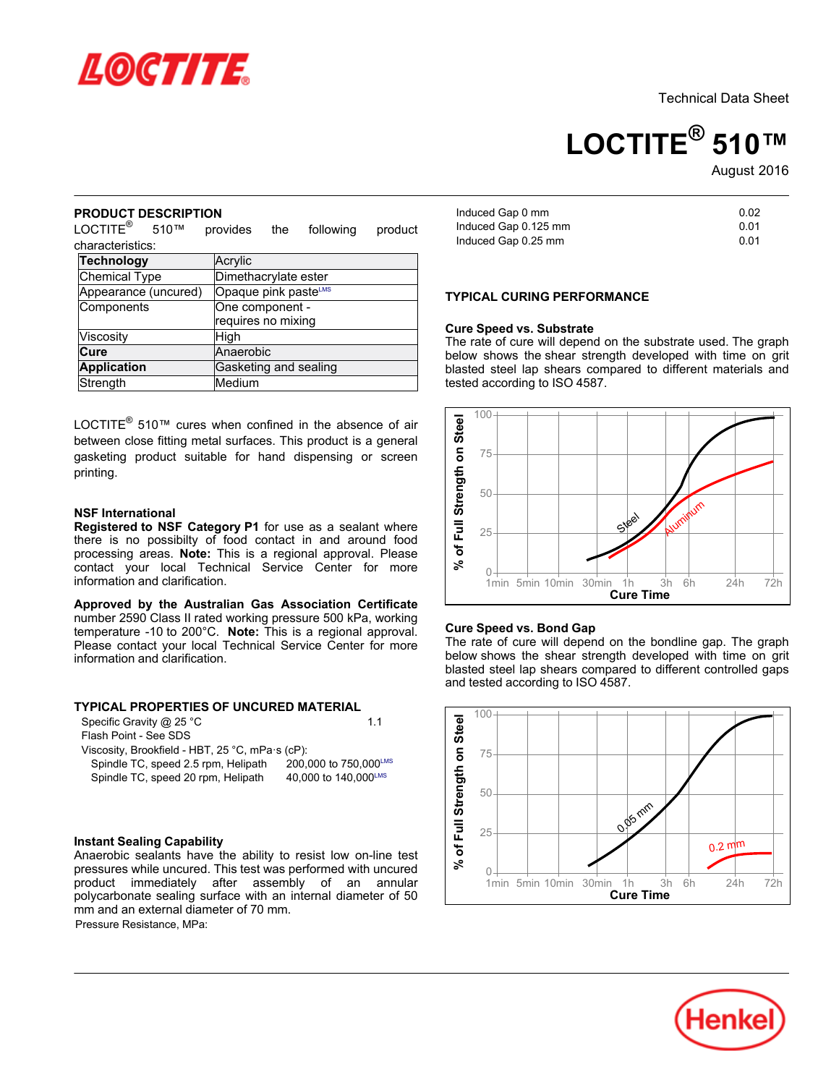

Technical Data Sheet

# **LOCTITE® 510™**

August-2016

#### **PRODUCT DESCRIPTION**

LOCTITE<sup>®</sup> 510™ provides the following product characteristics:

| Technology           | Acrylic               |
|----------------------|-----------------------|
| <b>Chemical Type</b> | Dimethacrylate ester  |
| Appearance (uncured) | Opaque pink pasteLMS  |
| Components           | One component -       |
|                      | requires no mixing    |
| Viscosity            | High                  |
| <b>Cure</b>          | Anaerobic             |
| <b>Application</b>   | Gasketing and sealing |
| Strength             | Medium                |

LOCTITE® 510™ cures when confined in the absence of air between close fitting metal surfaces. This product is a general gasketing product suitable for hand dispensing or screen printing.

#### **NSF International**

**Registered to NSF Category P1** for use as a sealant where there is no possibilty of food contact in and around food processing areas. **Note:** This is a regional approval. Please contact your local Technical Service Center for more information and clarification.

**Approved by the Australian Gas Association Certificate** number 2590 Class II rated working pressure 500 kPa, working temperature -10 to 200°C. **Note:** This is a regional approval. Please contact your local Technical Service Center for more information and clarification.

# **TYPICAL PROPERTIES OF UNCURED MATERIAL**

| Specific Gravity $@$ 25 °C                      | 11                    |
|-------------------------------------------------|-----------------------|
| Flash Point - See SDS                           |                       |
| Viscosity, Brookfield - HBT, 25 °C, mPa·s (cP): |                       |
| Spindle TC, speed 2.5 rpm, Helipath             | 200,000 to 750,000LMS |
| Spindle TC, speed 20 rpm, Helipath              | 40,000 to 140,000LMS  |

# **Instant Sealing Capability**

Anaerobic sealants have the ability to resist low on-line test pressures while uncured. This test was performed with uncured product immediately after assembly of an annular polycarbonate sealing surface with an internal diameter of 50 mm and an external diameter of 70 mm. Pressure Resistance, MPa:

Induced Gap 0 mm  $\frac{1}{100}$  and  $\frac{1}{100}$  or  $\frac{1}{100}$  or  $\frac{1}{100}$  or  $\frac{1}{100}$  or  $\frac{1}{100}$  or  $\frac{1}{100}$  or  $\frac{1}{100}$  or  $\frac{1}{100}$  or  $\frac{1}{100}$  or  $\frac{1}{100}$  or  $\frac{1}{100}$  or  $\frac{1}{100}$  or  $\frac{1}{100}$  or  $\frac{1}{100}$  $\frac{1}{2}$  music compared Gap 0.25 mm

# **TYPICAL CURING PERFORMANCE**

#### **Cure Speed vs. Substrate**

**The rate of cure will depend on the substrate used. The graph**<br>The rate of cure will depend on the substrate used. The graph below shows the shear strength developed with time on grit below shows the shear strength developed with time on ght<br>blasted steel lap shears compared to different materials and tested according to ISO 4587.



#### **Cure Speed vs. Bond Gap**

oure opeed vs. Dond Gap<br>The rate of cure will depend on the bondline gap. The graph below shows the shear strength developed with time on grit below shows the shear strength developed with three on ght<br>blasted steel lap shears compared to different controlled gaps and tested according to ISO 4587.



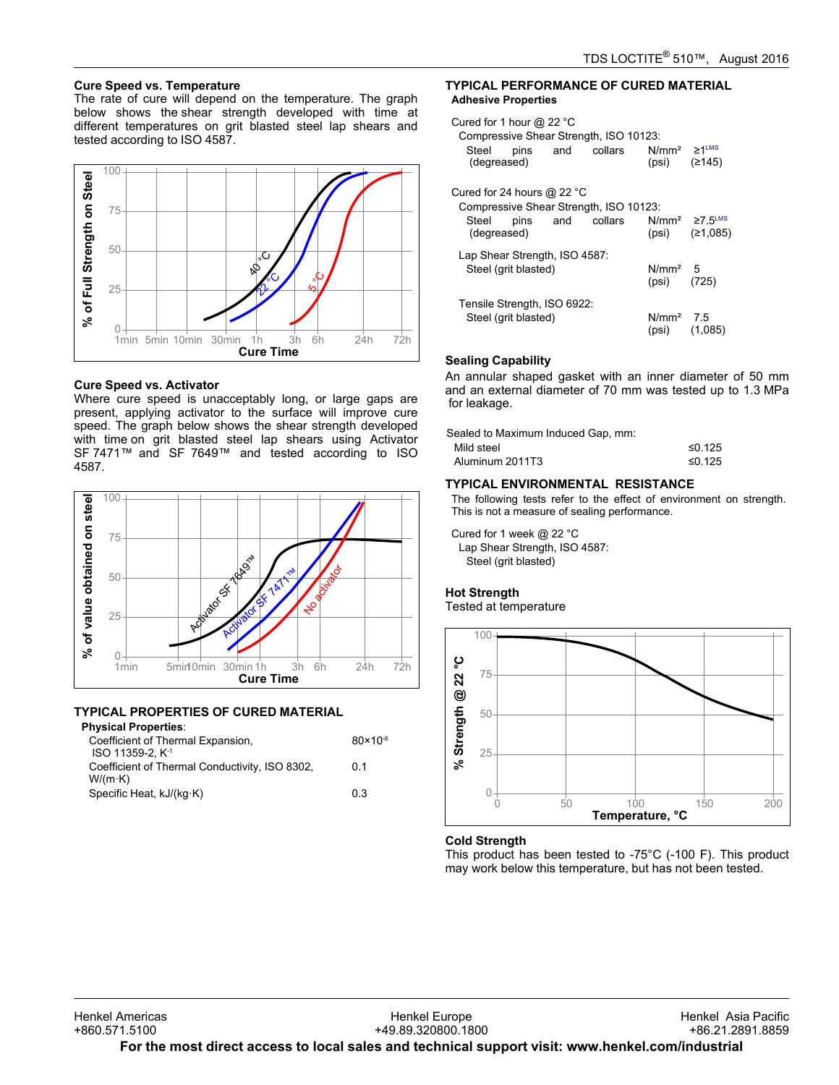# **Cure Speed vs. Temperature**

oure opeed vs. remperature<br>The rate of cure will depend on the temperature. The graph below shows the shear strength developed with time at different temperatures on grit blasted steel lap shears and different temperatures on gr<br>tested according to ISO 4587.



#### **Cure Speed vs. Activator**

Where cure speed is unacceptably long, or large gaps are present, applying activator to the surface will improve cure present, applying activator to the sanace will improve care<br>speed. The graph below shows the shear strength developed with time on grit blasted steel lap shears using Activator SF 7471™ and SF 7649™ and tested according to ISO 4587.



#### **TYPICAL PROPERTIES OF CURED MATERIAL**

#### **Physical Properties**:

| Coefficient of Thermal Expansion,<br>ISO 11359-2. K <sup>-1</sup> | $80 \times 10^{-6}$ |
|-------------------------------------------------------------------|---------------------|
| Coefficient of Thermal Conductivity, ISO 8302,<br>$W/(m \cdot K)$ | 0 1                 |
| Specific Heat, kJ/(kg·K)                                          | 03                  |

#### **TYPICAL PERFORMANCE OF CURED MATERIAL Adhesive Properties**

| Cured for 1 hour @ 22 $^{\circ}$ C<br>Steel<br>(degreased)   | pins and collars                                      | Compressive Shear Strength, ISO 10123: | $N/mm^2 \ge 1$ <sup>LMS</sup><br>(psi) $(2145)$ |                    |
|--------------------------------------------------------------|-------------------------------------------------------|----------------------------------------|-------------------------------------------------|--------------------|
| Cured for 24 hours @ 22 $^{\circ}$ C<br>Steel<br>(degreased) | pins and collars                                      | Compressive Shear Strength, ISO 10123: | $N/mm^2 \ge 7$ 5 <sup>LMS</sup>                 | $(psi)$ $(21,085)$ |
|                                                              | Lap Shear Strength, ISO 4587:<br>Steel (grit blasted) |                                        | N/mm <sup>2</sup> 5<br>$(psi)$ (725)            |                    |
|                                                              | Tensile Strength, ISO 6922:<br>Steel (grit blasted)   |                                        | $N/mm2$ 7.5<br>$(psi)$ $(1,085)$                |                    |

#### **Sealing Capability**

An annular shaped gasket with an inner diameter of 50 mm and an external diameter of 70 mm was tested up to 1.3 MPa and an external

| Sealed to Maximum Induced Gap, mm: |        |
|------------------------------------|--------|
| Mild steel                         | ≤0.125 |
| Aluminum 2011T3                    | ≤0.125 |

# **TYPICAL ENVIRONMENTAL RESISTANCE**

The following tests refer to the effect of environment on strength. This is not a measure of sealing performance.

Cured for 1 week @ 22 °C Lap Shear Strength, ISO 4587: Steel (grit blasted)

#### **Hot Strength** not otrongtn<br>Tested at temperature



## **Cold Strength**

This product has been tested to -75°C (-100 F). This product may product has been tested to -75 G (-166 F). This pre<br>may work below this temperature, but has not been tested.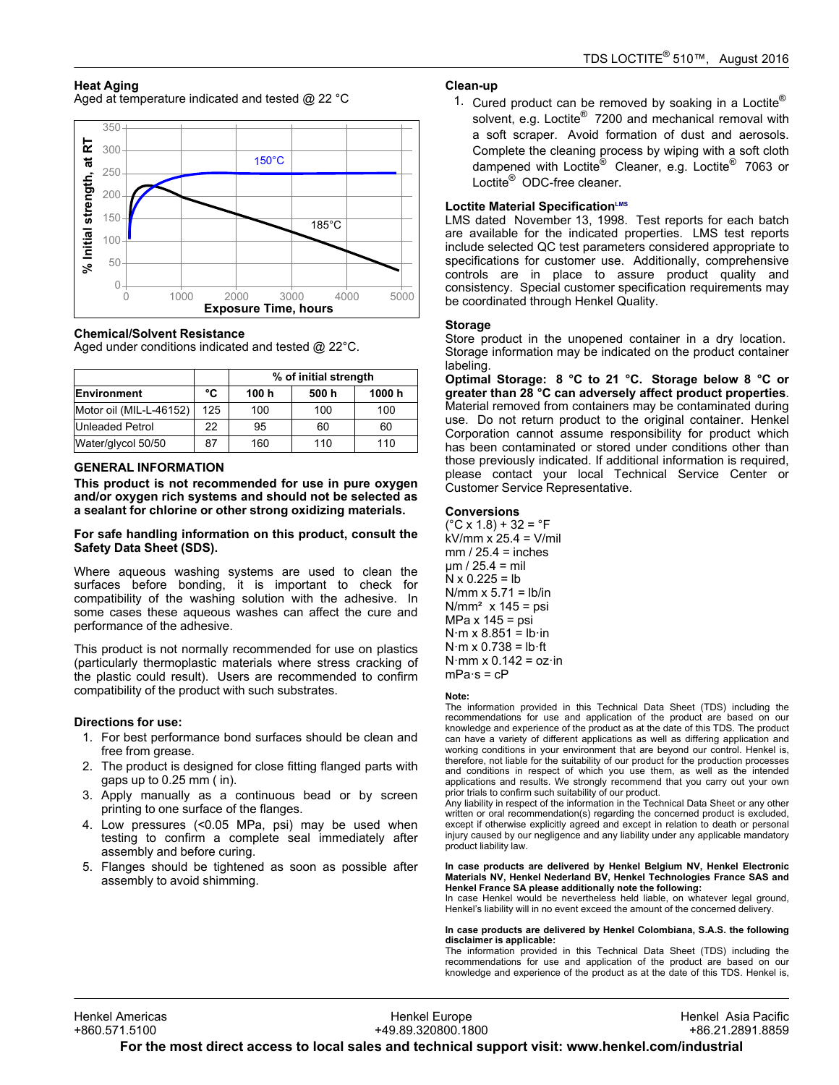# **Heat Aging**

Aged at temperature indicated and tested @ 22 °C



## **Chemical/Solvent Resistance**

Aged under conditions indicated and tested @ 22°C.

|                         |     | % of initial strength |       |        |
|-------------------------|-----|-----------------------|-------|--------|
| Environment             | °C  | 100 h                 | 500 h | 1000 h |
| Motor oil (MIL-L-46152) | 125 | 100                   | 100   | 100    |
| Unleaded Petrol         | 22  | 95                    | 60    | 60     |
| Water/glycol 50/50      | 87  | 160                   | 110   | 110    |

## **GENERAL INFORMATION**

**This product is not recommended for use in pure oxygen and/or oxygen rich systems and should not be selected as a sealant for chlorine or other strong oxidizing materials.**

#### **For safe handling information on this product, consult the Safety Data Sheet (SDS).**

Where aqueous washing systems are used to clean the surfaces before bonding, it is important to check for compatibility of the washing solution with the adhesive. In some cases these aqueous washes can affect the cure and performance of the adhesive.

This product is not normally recommended for use on plastics (particularly thermoplastic materials where stress cracking of the plastic could result). Users are recommended to confirm compatibility of the product with such substrates.

## **Directions for use:**

- 1. For best performance bond surfaces should be clean and free from grease.
- 2. The product is designed for close fitting flanged parts with gaps up to 0.25 mm ( in).
- 3. Apply manually as a continuous bead or by screen ripply mandally as a commacas.<br>printing to one surface of the flanges.
- 4. Low pressures (<0.05 MPa, psi) may be used when testing to confirm a complete seal immediately after assembly and before curing.
- 5. Flanges should be tightened as soon as possible after rianges should be tightened<br>assembly to avoid shimming.

# **Clean-up**

1. Cured product can be removed by soaking in a Loctite®<br>1. Cured product can be removed by soaking in a Loctite® solvent, e.g. Loctite® 7200 and mechanical removal with a soft scraper. Avoid formation of dust and aerosols. Complete the cleaning process by wiping with a soft cloth dampened with Loctite® Cleaner, e.g. Loctite® 7063 or dampenca with Ecolite<br>Loctite<sup>®</sup> ODC-free cleaner.

# **Loctite Material SpecificationLMS**

LMS dated November-13, 1998. Test reports for each batch are available for the indicated properties. LMS test reports include selected QC test parameters considered appropriate to specifications for customer use. Additionally, comprehensive controls are in place to assure product quality and consistency. Special customer specification requirements may be coordinated through Henkel Quality.

#### **Storage**

Store product in the unopened container in a dry location. Storage information may be indicated on the product container labeling.

**Optimal Storage: 8 °C to 21 °C. Storage below 8 °C or greater than 28 °C can adversely affect product properties**. Material removed from containers may be contaminated during use. Do not return product to the original container. Henkel ase. Bo not return product to the original container. Henker<br>Corporation cannot assume responsibility for product which has been contaminated or stored under conditions other than those previously indicated. If additional information is required, mose previously indicated: if domitorial information is required,<br>please contact your local Technical Service Center or Customer Service Representative.

#### **Conversions**

 $C$  x 1.8) + 32 =  $^{\circ}$ F kV/mm x 25.4 = V/mil mm / 25.4 = inches µm / 25.4 = mil N x 0.225 = lb N/mm x 5.71 = lb/in N/mm² x 145 = psi MPa x 145 = psi N·m x 8.851 = lb·in N·m x 0.738 = lb·ft N·mm x 0.142 = oz·in mPa·s = cP

#### **Note:**

 The information provided in this Technical Data Sheet (TDS) including the recommendations for use and application of the product are based on our knowledge and experience of the product as at the date of this TDS. The product can have a variety of different applications as well as differing application and working conditions in your environment that are beyond our control. Henkel is, therefore, not liable for the suitability of our product for the production processes and conditions in respect of which you use them, as well as the intended and conditions in respect of which you ase them, as well as the intended<br>applications and results. We strongly recommend that you carry out your own applications and results. We strongly recommend<br>prior trials to confirm such suitability of our product.

Any liability in respect of the information in the Technical Data Sheet or any other with the maximum incorport of the information in the recommendation state of early other<br>written or oral recommendation(s) regarding the concerned product is excluded. except if otherwise explicitly agreed and except in relation to death or personal injury caused by our negligence and any liability under any applicable mandatory nijury caused by ou<br>product liability law.

**In case products are delivered by Henkel Belgium NV, Henkel Electronic Materials NV, Henkel Nederland BV, Henkel Technologies France SAS and Henkel France SA please additionally note the following:**  Inchitent rance of piease additionally note the following.<br>In case Henkel would be nevertheless held liable, on whatever legal ground,

Henkel's liability will in no event exceed the amount of the concerned delivery.

#### **In case products are delivered by Henkel Colombiana, S.A.S. the following disclaimer is applicable:**

The information provided in this Technical Data Sheet (TDS) including the recommendations for use and application of the product are based on our knowledge and experience of the product as at the date of this TDS. Henkel is,